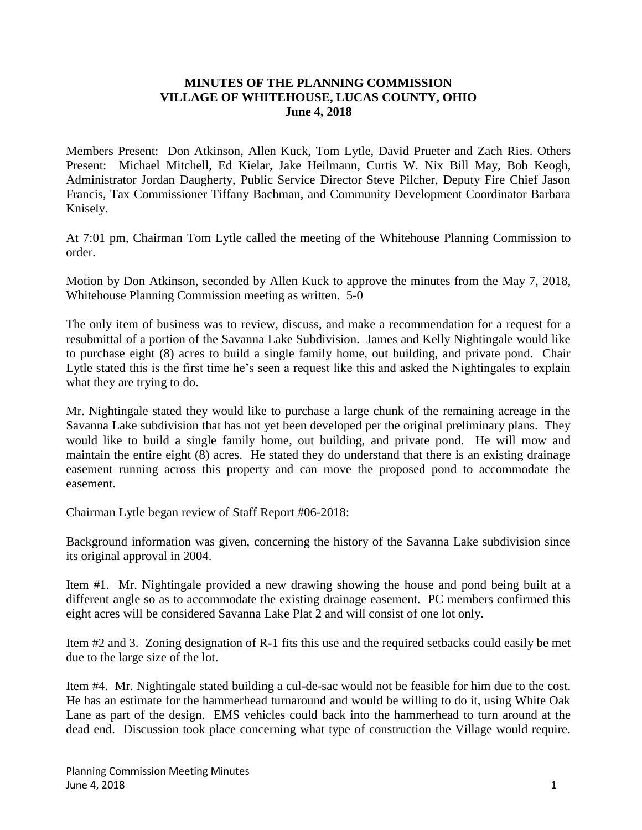## **MINUTES OF THE PLANNING COMMISSION VILLAGE OF WHITEHOUSE, LUCAS COUNTY, OHIO June 4, 2018**

Members Present: Don Atkinson, Allen Kuck, Tom Lytle, David Prueter and Zach Ries. Others Present: Michael Mitchell, Ed Kielar, Jake Heilmann, Curtis W. Nix Bill May, Bob Keogh, Administrator Jordan Daugherty, Public Service Director Steve Pilcher, Deputy Fire Chief Jason Francis, Tax Commissioner Tiffany Bachman, and Community Development Coordinator Barbara Knisely.

At 7:01 pm, Chairman Tom Lytle called the meeting of the Whitehouse Planning Commission to order.

Motion by Don Atkinson, seconded by Allen Kuck to approve the minutes from the May 7, 2018, Whitehouse Planning Commission meeting as written. 5-0

The only item of business was to review, discuss, and make a recommendation for a request for a resubmittal of a portion of the Savanna Lake Subdivision. James and Kelly Nightingale would like to purchase eight (8) acres to build a single family home, out building, and private pond. Chair Lytle stated this is the first time he's seen a request like this and asked the Nightingales to explain what they are trying to do.

Mr. Nightingale stated they would like to purchase a large chunk of the remaining acreage in the Savanna Lake subdivision that has not yet been developed per the original preliminary plans. They would like to build a single family home, out building, and private pond. He will mow and maintain the entire eight (8) acres. He stated they do understand that there is an existing drainage easement running across this property and can move the proposed pond to accommodate the easement.

Chairman Lytle began review of Staff Report #06-2018:

Background information was given, concerning the history of the Savanna Lake subdivision since its original approval in 2004.

Item #1. Mr. Nightingale provided a new drawing showing the house and pond being built at a different angle so as to accommodate the existing drainage easement. PC members confirmed this eight acres will be considered Savanna Lake Plat 2 and will consist of one lot only.

Item #2 and 3. Zoning designation of R-1 fits this use and the required setbacks could easily be met due to the large size of the lot.

Item #4. Mr. Nightingale stated building a cul-de-sac would not be feasible for him due to the cost. He has an estimate for the hammerhead turnaround and would be willing to do it, using White Oak Lane as part of the design. EMS vehicles could back into the hammerhead to turn around at the dead end. Discussion took place concerning what type of construction the Village would require.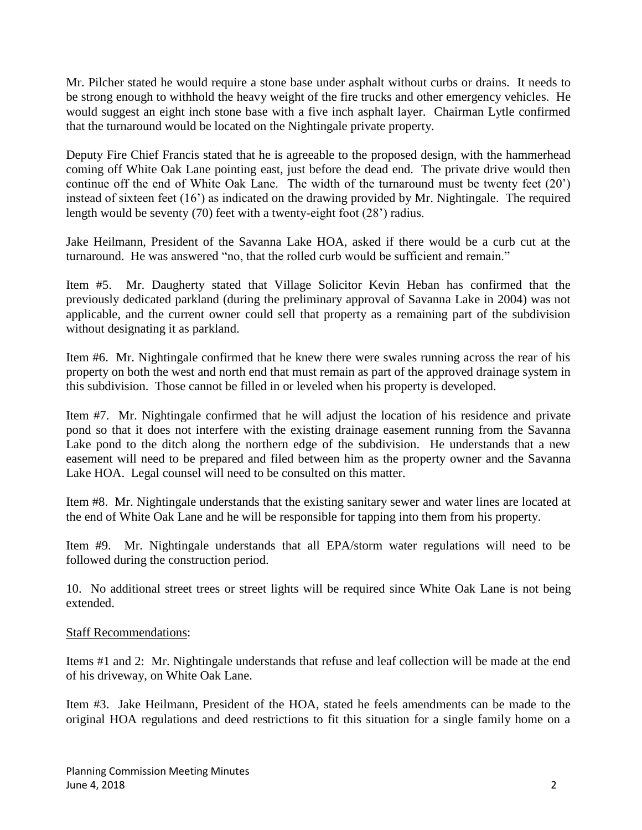Mr. Pilcher stated he would require a stone base under asphalt without curbs or drains. It needs to be strong enough to withhold the heavy weight of the fire trucks and other emergency vehicles. He would suggest an eight inch stone base with a five inch asphalt layer. Chairman Lytle confirmed that the turnaround would be located on the Nightingale private property.

Deputy Fire Chief Francis stated that he is agreeable to the proposed design, with the hammerhead coming off White Oak Lane pointing east, just before the dead end. The private drive would then continue off the end of White Oak Lane. The width of the turnaround must be twenty feet (20') instead of sixteen feet (16') as indicated on the drawing provided by Mr. Nightingale. The required length would be seventy (70) feet with a twenty-eight foot (28') radius.

Jake Heilmann, President of the Savanna Lake HOA, asked if there would be a curb cut at the turnaround. He was answered "no, that the rolled curb would be sufficient and remain."

Item #5. Mr. Daugherty stated that Village Solicitor Kevin Heban has confirmed that the previously dedicated parkland (during the preliminary approval of Savanna Lake in 2004) was not applicable, and the current owner could sell that property as a remaining part of the subdivision without designating it as parkland.

Item #6. Mr. Nightingale confirmed that he knew there were swales running across the rear of his property on both the west and north end that must remain as part of the approved drainage system in this subdivision. Those cannot be filled in or leveled when his property is developed.

Item #7. Mr. Nightingale confirmed that he will adjust the location of his residence and private pond so that it does not interfere with the existing drainage easement running from the Savanna Lake pond to the ditch along the northern edge of the subdivision. He understands that a new easement will need to be prepared and filed between him as the property owner and the Savanna Lake HOA. Legal counsel will need to be consulted on this matter.

Item #8. Mr. Nightingale understands that the existing sanitary sewer and water lines are located at the end of White Oak Lane and he will be responsible for tapping into them from his property.

Item #9. Mr. Nightingale understands that all EPA/storm water regulations will need to be followed during the construction period.

10. No additional street trees or street lights will be required since White Oak Lane is not being extended.

## Staff Recommendations:

Items #1 and 2: Mr. Nightingale understands that refuse and leaf collection will be made at the end of his driveway, on White Oak Lane.

Item #3. Jake Heilmann, President of the HOA, stated he feels amendments can be made to the original HOA regulations and deed restrictions to fit this situation for a single family home on a